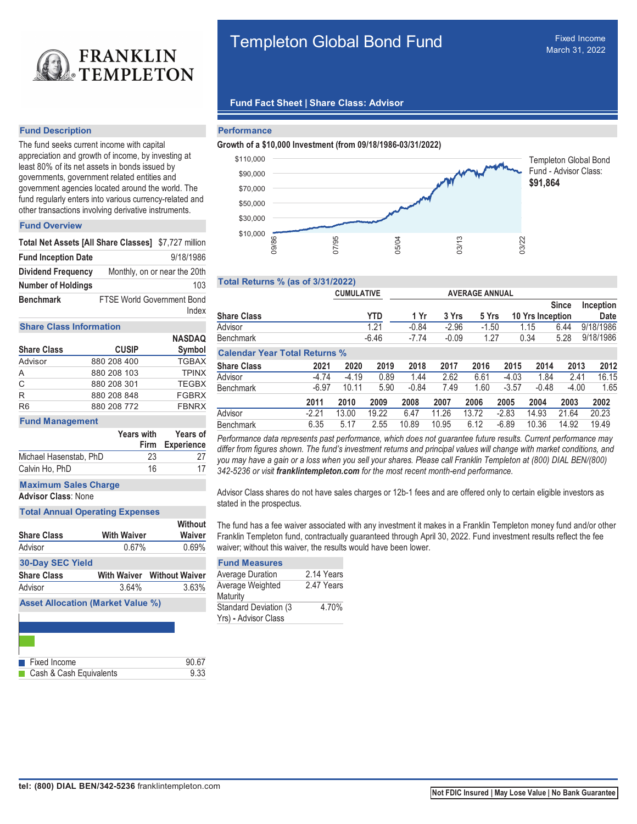

# **Fund Description**

The fund seeks current income with capital appreciation and growth of income, by investing at least 80% of its net assets in bonds issued by governments, government related entities and government agencies located around the world. The fund regularly enters into various currency-related and other transactions involving derivative instruments.

# **Fund Overview**

| Total Net Assets [All Share Classes] \$7,727 million |                                   |                              |
|------------------------------------------------------|-----------------------------------|------------------------------|
| <b>Fund Inception Date</b>                           |                                   | 9/18/1986                    |
| <b>Dividend Frequency</b>                            |                                   | Monthly, on or near the 20th |
| <b>Number of Holdings</b>                            |                                   | 103                          |
| <b>Benchmark</b>                                     | <b>FTSE World Government Bond</b> | Index                        |

## **Share Class Information**

|                    |              | <b>NASDAQ</b> |
|--------------------|--------------|---------------|
| <b>Share Class</b> | <b>CUSIP</b> | Symbol        |
| Advisor            | 880 208 400  | <b>TGBAX</b>  |
| A                  | 880 208 103  | <b>TPINX</b>  |
| $\mathbf C$        | 880 208 301  | <b>TEGBX</b>  |
| R                  | 880 208 848  | <b>FGBRX</b>  |
| R <sub>6</sub>     | 880 208 772  | <b>FBNRX</b>  |

#### **Fund Management**

|                        | <b>Years with</b> | <b>Years of</b><br>Firm Experience |  |  |
|------------------------|-------------------|------------------------------------|--|--|
| Michael Hasenstab, PhD | 23                | 27                                 |  |  |
| Calvin Ho, PhD         | 16                | 17                                 |  |  |
|                        |                   |                                    |  |  |

**Maximum Sales Charge**

**Advisor Class**: None

# **Total Annual Operating Expenses**

| <b>Share Class</b>      | <b>With Waiver</b> | Without<br><b>Waiver</b>          |
|-------------------------|--------------------|-----------------------------------|
| Advisor                 | 0.67%              | 0.69%                             |
| <b>30-Day SEC Yield</b> |                    |                                   |
| <b>Share Class</b>      |                    | <b>With Waiver Without Waiver</b> |
| Advisor                 | 3.64%              | 3.63%                             |
|                         |                    |                                   |

**Asset Allocation (Market Value %)**

| <b>Exed Income</b>                 | 90.67 |
|------------------------------------|-------|
| <b>Cash &amp; Cash Equivalents</b> | 9.33  |

# Templeton Global Bond Fund

# **Fund Fact Sheet | Share Class: Advisor**

#### **Performance**

#### **Growth of a \$10,000 Investment (from 09/18/1986-03/31/2022)**



# **Total Returns % (as of 3/31/2022)**

|         |         | <b>YTD</b>                                                                                | 1 Yr                         |       |       |                                      |                                                   |                       | Inception<br><b>Date</b>                         |
|---------|---------|-------------------------------------------------------------------------------------------|------------------------------|-------|-------|--------------------------------------|---------------------------------------------------|-----------------------|--------------------------------------------------|
|         |         | 1.21                                                                                      | $-0.84$                      |       |       |                                      |                                                   |                       | 9/18/1986                                        |
|         |         |                                                                                           | $-7.74$                      |       |       |                                      |                                                   |                       | 9/18/1986                                        |
|         |         |                                                                                           |                              |       |       |                                      |                                                   |                       |                                                  |
| 2021    | 2020    | 2019                                                                                      | 2018                         | 2017  | 2016  | 2015                                 | 2014                                              | 2013                  | 2012                                             |
| $-4.74$ | $-4.19$ | 0.89                                                                                      | 1.44                         | 2.62  | 6.61  | $-4.03$                              | 1.84                                              | 2.41                  | 16.15                                            |
| $-6.97$ | 10.11   | 5.90                                                                                      | $-0.84$                      | 7.49  | 1.60  | $-3.57$                              | $-0.48$                                           | $-4.00$               | 1.65                                             |
| 2011    | 2010    | 2009                                                                                      | 2008                         | 2007  | 2006  | 2005                                 | 2004                                              | 2003                  | 2002                                             |
| $-2.21$ | 13.00   | 19.22                                                                                     | 6.47                         | 11.26 | 13.72 | $-2.83$                              | 14.93                                             | 21.64                 | 20.23                                            |
| 6.35    | 5.17    | 2.55                                                                                      | 10.89                        | 10.95 | 6.12  | $-6.89$                              | 10.36                                             | 14.92                 | 19.49                                            |
|         |         | 07/95<br><b>Total Returns % (as of 3/31/2022)</b><br><b>Calendar Year Total Returns %</b> | <b>CUMULATIVE</b><br>$-6.46$ | 05/04 |       | 03/13<br>3 Yrs<br>$-2.96$<br>$-0.09$ | <b>AVERAGE ANNUAL</b><br>5 Yrs<br>$-1.50$<br>1.27 | 03/22<br>1.15<br>0.34 | <b>Since</b><br>10 Yrs Inception<br>6.44<br>5.28 |

Performance data represents past performance, which does not guarantee future results. Current performance may differ from figures shown. The fund's investment returns and principal values will change with market conditions, and you may have a gain or a loss when you sell your shares. Please call Franklin Templeton at (800) DIAL BEN/(800) 342-5236 or visit **franklintempleton.com** for the most recent month-end performance.

Advisor Class shares do not have sales charges or 12b-1 fees and are offered only to certain eligible investors as stated in the prospectus.

The fund has a fee waiver associated with any investment it makes in a Franklin Templeton money fund and/or other Franklin Templeton fund, contractually guaranteed through April 30, 2022. Fund investment results reflect the fee waiver; without this waiver, the results would have been lower.

# **Fund Measures**

| <b>Average Duration</b>       | 2.14 Years |
|-------------------------------|------------|
| Average Weighted              | 2.47 Years |
| Maturity                      |            |
| <b>Standard Deviation (3)</b> | 4.70%      |
| Yrs) - Advisor Class          |            |